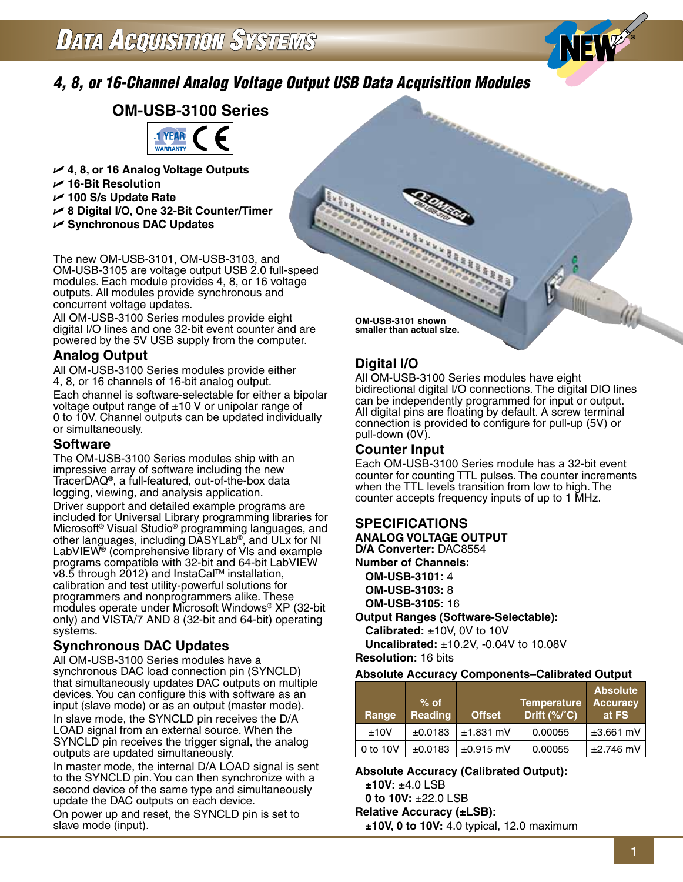# *4, 8, or 16-Channel Analog Voltage Output USB Data Acquisition Modules*

# **OM-USB-3100 Series**



- U **4, 8, or 16 Analog Voltage Outputs**
- U **16-Bit Resolution**
- U **100 S/s Update Rate**
- U **8 Digital I/O, One 32-Bit Counter/Timer**
- U **Synchronous DAC Updates**

The new OM-USB-3101, OM-USB-3103, and OM-USB-3105 are voltage output USB 2.0 full-speed modules. Each module provides 4, 8, or 16 voltage outputs. All modules provide synchronous and concurrent voltage updates.

All OM-USB-3100 Series modules provide eight digital I/O lines and one 32-bit event counter and are powered by the 5V USB supply from the computer.

# **Analog Output**

All OM-USB-3100 Series modules provide either 4, 8, or 16 channels of 16-bit analog output. Each channel is software-selectable for either a bipolar voltage output range of  $\pm 10$  V or unipolar range of 0 to 10V. Channel outputs can be updated individually or simultaneously.

### **Software**

The OM-USB-3100 Series modules ship with an impressive array of software including the new TracerDAQ®, a full-featured, out-of-the-box data logging, viewing, and analysis application. Driver support and detailed example programs are included for Universal Library programming libraries for Microsoft® Visual Studio® programming languages, and other languages, including DASYLab®, and ULx for NI LabVIEW® (comprehensive library of Vls and example programs compatible with 32-bit and 64-bit LabVIEW v8.5 through 2012) and InstaCal™ installation, calibration and test utility-powerful solutions for programmers and nonprogrammers alike. These modules operate under Microsoft Windows® XP (32-bit only) and VISTA/7 AND 8 (32-bit and 64-bit) operating systems.

# **Synchronous DAC Updates**

All OM-USB-3100 Series modules have a synchronous DAC load connection pin (SYNCLD) that simultaneously updates DAC outputs on multiple devices. You can configure this with software as an input (slave mode) or as an output (master mode). In slave mode, the SYNCLD pin receives the D/A LOAD signal from an external source. When the SYNCLD pin receives the trigger signal, the analog outputs are updated simultaneously.

In master mode, the internal D/A LOAD signal is sent to the SYNCLD pin. You can then synchronize with a second device of the same type and simultaneously update the DAC outputs on each device.

On power up and reset, the SYNCLD pin is set to slave mode (input).

**OM-USB-3101 shown smaller than actual size.**

# **Digital I/O**

**RANGER CORPORATION** 

All OM-USB-3100 Series modules have eight bidirectional digital I/O connections. The digital DIO lines can be independently programmed for input or output. All digital pins are floating by default. A screw terminal connection is provided to configure for pull-up (5V) or pull-down (0V).

erreta antica de rano

# **Counter Input**

Each OM-USB-3100 Series module has a 32-bit event counter for counting TTL pulses. The counter increments when the TTL levels transition from low to high. The counter accepts frequency inputs of up to 1 MHz.

# **SPECIFICATIONS**

**ANALOG VOLTAGE OUTPUT D/A Converter:** DAC8554 **Number of Channels: OM-USB-3101:** 4 **OM-USB-3103:** 8 **OM-USB-3105:** 16

### **Output Ranges (Software-Selectable):**

**Calibrated:** ±10V, 0V to 10V **Uncalibrated:** ±10.2V, -0.04V to 10.08V **Resolution:** 16 bits

#### **Absolute Accuracy Components–Calibrated Output**

| Range    | $%$ of<br><b>Reading</b> | <b>Offset</b>  | <b>Temperature</b><br>Drift $(\frac{6}{6})^{\circ}$ C) | <b>Absolute</b><br><b>Accuracy</b><br>at FS |
|----------|--------------------------|----------------|--------------------------------------------------------|---------------------------------------------|
| ±10V     | ±0.0183                  | $±1.831$ mV    | 0.00055                                                | $±3.661$ mV                                 |
| 0 to 10V | ±0.0183                  | $\pm 0.915$ mV | 0.00055                                                | $\pm 2.746$ mV                              |

#### **Absolute Accuracy (Calibrated Output):**

**±10V:** ±4.0 LSB

**0 to 10V:** ±22.0 LSB

**Relative Accuracy (±LSB):**

**±10V, 0 to 10V:** 4.0 typical, 12.0 maximum

W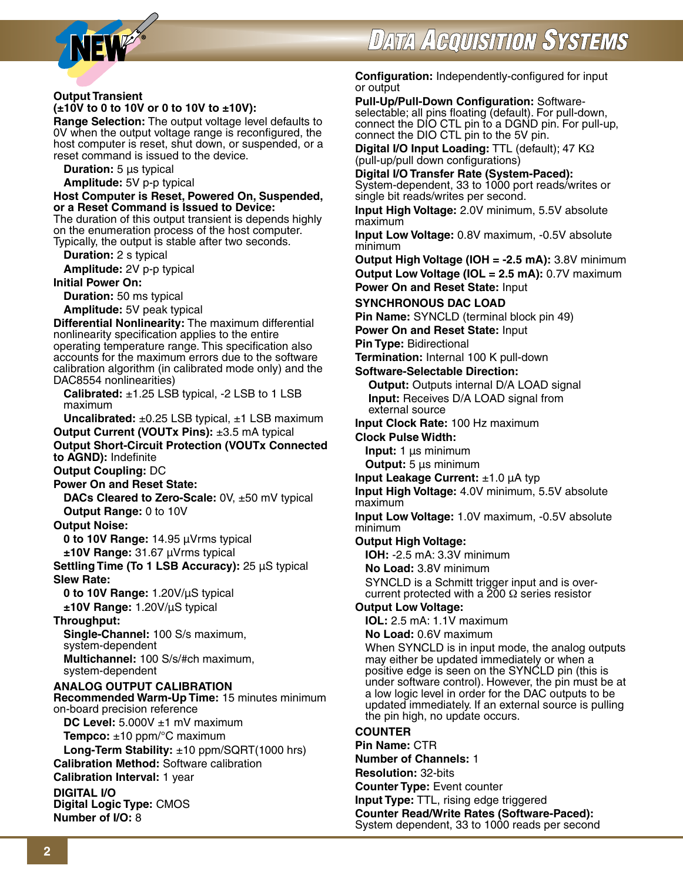

#### **Output Transient (±10V to 0 to 10V or 0 to 10V to ±10V):**

**Range Selection:** The output voltage level defaults to 0V when the output voltage range is reconfigured, the host computer is reset, shut down, or suspended, or a reset command is issued to the device.

**Duration:** 5 µs typical

**Amplitude:** 5V p-p typical

**Host Computer is Reset, Powered On, Suspended, or a Reset Command is Issued to Device:**

The duration of this output transient is depends highly on the enumeration process of the host computer. Typically, the output is stable after two seconds.

**Duration:** 2 s typical

**Amplitude:** 2V p-p typical

**Initial Power On:**

**Duration:** 50 ms typical

**Amplitude:** 5V peak typical

**Differential Nonlinearity:** The maximum differential nonlinearity specification applies to the entire operating temperature range. This specification also accounts for the maximum errors due to the software calibration algorithm (in calibrated mode only) and the DAC8554 nonlinearities)

 **Calibrated:** ±1.25 LSB typical, -2 LSB to 1 LSB maximum

**Uncalibrated:** ±0.25 LSB typical, ±1 LSB maximum

**Output Current (VOUTx Pins):** ±3.5 mA typical **Output Short-Circuit Protection (VOUTx Connected to AGND):** Indefinite

**Output Coupling:** DC

**Power On and Reset State:**

**DACs Cleared to Zero-Scale:** 0V, ±50 mV typical **Output Range:** 0 to 10V

**Output Noise:**

**0 to 10V Range:** 14.95 µVrms typical **±10V Range:** 31.67 µVrms typical

**Settling Time (To 1 LSB Accuracy):** 25 µS typical **Slew Rate:**

**0 to 10V Range:** 1.20V/µS typical **±10V Range:** 1.20V/µS typical

### **Throughput:**

 **Single-Channel:** 100 S/s maximum, system-dependent **Multichannel:** 100 S/s/#ch maximum,

system-dependent **ANALOG OUTPUT CALIBRATION Recommended Warm-Up Time:** 15 minutes minimum

on-board precision reference **DC Level:** 5.000V ±1 mV maximum

**Tempco:** ±10 ppm/°C maximum

**Long-Term Stability:** ±10 ppm/SQRT(1000 hrs) **Calibration Method:** Software calibration

**Calibration Interval:** 1 year

**DIGITAL I/O Digital Logic Type:** CMOS **Number of I/O:** 8

**Configuration:** Independently-configured for input or output

**Pull-Up/Pull-Down Configuration:** Softwareselectable; all pins floating (default). For pull-down, connect the DIO CTL pin to a DGND pin. For pull-up, connect the DIO CTL pin to the 5V pin.

**Digital I/O Input Loading:** TTL (default); 47 KΩ (pull-up/pull down configurations)

**Digital I/O Transfer Rate (System-Paced):** System-dependent, 33 to 1000 port reads/writes or single bit reads/writes per second.

**Input High Voltage:** 2.0V minimum, 5.5V absolute maximum

**Input Low Voltage:** 0.8V maximum, -0.5V absolute minimum

**Output High Voltage (IOH = -2.5 mA):** 3.8V minimum **Output Low Voltage (IOL = 2.5 mA):** 0.7V maximum **Power On and Reset State:** Input

#### **SYNCHRONOUS DAC LOAD**

**Pin Name:** SYNCLD (terminal block pin 49)

**Power On and Reset State:** Input

**Pin Type:** Bidirectional

**Termination:** Internal 100 K pull-down

#### **Software-Selectable Direction:**

 **Output:** Outputs internal D/A LOAD signal **Input:** Receives D/A LOAD signal from external source

**Input Clock Rate:** 100 Hz maximum

**Clock Pulse Width:**

**Input:** 1 µs minimum **Output:** 5 µs minimum

**Input Leakage Current:** ±1.0 µA typ

**Input High Voltage:** 4.0V minimum, 5.5V absolute maximum

**Input Low Voltage:** 1.0V maximum, -0.5V absolute minimum

### **Output High Voltage:**

**IOH:** -2.5 mA: 3.3V minimum

**No Load:** 3.8V minimum

 SYNCLD is a Schmitt trigger input and is overcurrent protected with a  $200 \Omega$  series resistor

### **Output Low Voltage:**

**IOL:** 2.5 mA: 1.1V maximum

**No Load:** 0.6V maximum

 When SYNCLD is in input mode, the analog outputs may either be updated immediately or when a positive edge is seen on the SYNCLD pin (this is under software control). However, the pin must be at a low logic level in order for the DAC outputs to be updated immediately. If an external source is pulling the pin high, no update occurs.

# **COUNTER**

**Pin Name:** CTR **Number of Channels:** 1 **Resolution:** 32-bits **Counter Type:** Event counter **Input Type:** TTL, rising edge triggered **Counter Read/Write Rates (Software-Paced):**  System dependent, 33 to 1000 reads per second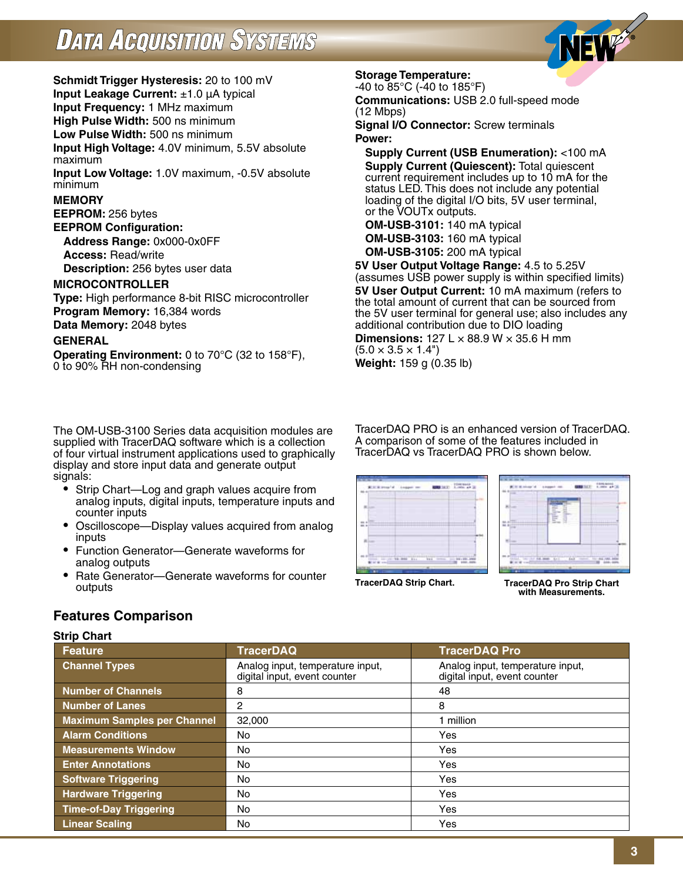

**Schmidt Trigger Hysteresis:** 20 to 100 mV **Input Leakage Current:** ±1.0 µA typical **Input Frequency:** 1 MHz maximum **High Pulse Width:** 500 ns minimum

**Low Pulse Width:** 500 ns minimum

**Input High Voltage:** 4.0V minimum, 5.5V absolute maximum

**Input Low Voltage:** 1.0V maximum, -0.5V absolute minimum

## **MEMORY**

**EEPROM:** 256 bytes

**EEPROM Configuration: Address Range:** 0x000-0x0FF

**Access:** Read/write

**Description:** 256 bytes user data

## **MICROCONTROLLER**

**Type:** High performance 8-bit RISC microcontroller **Program Memory:** 16,384 words **Data Memory:** 2048 bytes

#### **GENERAL**

**Operating Environment:** 0 to 70°C (32 to 158°F), 0 to 90% RH non-condensing

The OM-USB-3100 Series data acquisition modules are supplied with TracerDAQ software which is a collection of four virtual instrument applications used to graphically display and store input data and generate output signals:

- Strip Chart—Log and graph values acquire from analog inputs, digital inputs, temperature inputs and counter inputs
- Oscilloscope—Display values acquired from analog inputs
- Function Generator—Generate waveforms for analog outputs
- Rate Generator—Generate waveforms for counter outputs

#### **Storage Temperature:**

-40 to 85°C (-40 to 185°F) **Communications:** USB 2.0 full-speed mode

(12 Mbps) **Signal I/O Connector:** Screw terminals

#### **Power:**

 **Supply Current (USB Enumeration):** <100 mA  **Supply Current (Quiescent):** Total quiescent current requirement includes up to 10 mA for the status LED. This does not include any potential loading of the digital I/O bits, 5V user terminal, or the VOUTx outputs.

**OM-USB-3101:** 140 mA typical **OM-USB-3103:** 160 mA typical **OM-USB-3105:** 200 mA typical

**5V User Output Voltage Range:** 4.5 to 5.25V (assumes USB power supply is within specified limits) **5V User Output Current:** 10 mA maximum (refers to the total amount of current that can be sourced from the 5V user terminal for general use; also includes any additional contribution due to DIO loading

**Dimensions:**  $127 \text{ L} \times 88.9 \text{ W} \times 35.6 \text{ H}$  mm  $(5.0 \times 3.5 \times 1.4^{\circ})$ **Weight:** 159 g (0.35 lb)

TracerDAQ PRO is an enhanced version of TracerDAQ. A comparison of some of the features included in TracerDAQ vs TracerDAQ PRO is shown below.





**TracerDAQ Strip Chart.**

**TracerDAQ Pro Strip Chart with Measurements.**

# **Features Comparison**

#### **Strip Chart**

| Feature                            | <b>TracerDAQ</b>                                                 | <b>TracerDAQ Pro</b>                                             |
|------------------------------------|------------------------------------------------------------------|------------------------------------------------------------------|
| <b>Channel Types</b>               | Analog input, temperature input,<br>digital input, event counter | Analog input, temperature input,<br>digital input, event counter |
| <b>Number of Channels</b>          | 8                                                                | 48                                                               |
| Number of Lanes                    | 2                                                                | 8                                                                |
| <b>Maximum Samples per Channel</b> | 32,000                                                           | 1 million                                                        |
| <b>Alarm Conditions</b>            | <b>No</b>                                                        | Yes                                                              |
| <b>Measurements Window</b>         | No.                                                              | Yes                                                              |
| <b>Enter Annotations</b>           | No.                                                              | Yes                                                              |
| <b>Software Triggering</b>         | No                                                               | Yes                                                              |
| <b>Hardware Triggering</b>         | <b>No</b>                                                        | Yes                                                              |
| <b>Time-of-Day Triggering</b>      | <b>No</b>                                                        | Yes                                                              |
| <b>Linear Scaling</b>              | No.                                                              | Yes                                                              |